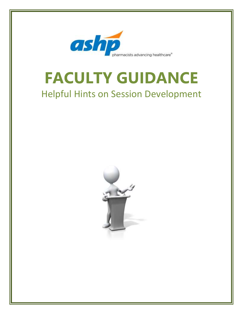

# **FACULTY GUIDANCE** Helpful Hints on Session Development

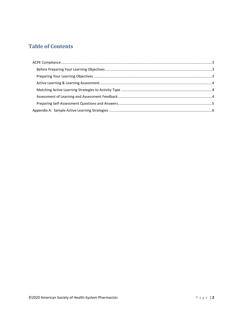# **Table of Contents**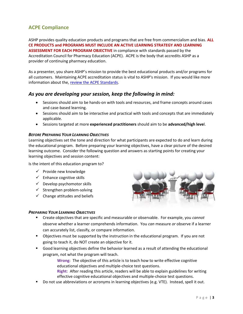## <span id="page-2-0"></span>**ACPE Compliance**

ASHP provides quality education products and programs that are free from commercialism and bias. **ALL CE PRODUCTS and PROGRAMS MUST INCLUDE AN ACTIVE LEARNING STRATEGY AND LEARNING ASSESSMENT FOR EACH PROGRAM OBJECTIVE** in compliance with standards passed by the Accreditation Council for Pharmacy Education (ACPE). ACPE is the body that accredits ASHP as a provider of continuing pharmacy education.

As a presenter, you share ASHP's mission to provide the best educational products and/or programs for all customers. Maintaining ACPE accreditation status is vital to ASHP's mission. If you would like more information about the[, review the ACPE Standards.](https://www.acpe-accredit.org/continuing-education-provider-accreditation/)

### *As you are developing your session, keep the following in mind:*

- Sessions should aim to be hands-on with tools and resources, and frame concepts around cases and case-based learning.
- Sessions should aim to be interactive and practical with tools and concepts that are immediately applicable.
- Sessions targeted at more **experienced practitioners** should aim to be **advanced/high leve**l.

#### <span id="page-2-1"></span>*BEFORE PREPARING YOUR LEARNING OBJECTIVES*

Learning objectives set the tone and direction for what participants are expected to do and learn during the educational program. Before preparing your learning objectives, have a clear picture of the desired learning outcome. Consider the following question and answers as starting points for creating your learning objectives and session content:

Is the intent of this education program to?

- $\checkmark$  Provide new knowledge
- $\checkmark$  Enhance cognitive skills
- $\checkmark$  Develop psychomotor skills
- $\checkmark$  Strengthen problem-solving
- $\checkmark$  Change attitudes and beliefs



#### <span id="page-2-2"></span>*PREPARING YOUR LEARNING OBJECTIVES*

- Create objectives that are specific and measurable or observable. For example, you *cannot*  observe whether a learner comprehends information. You *can* measure *or* observe if a learner can accurately list, classify, or compare information.
- Objectives must be supported by the instruction in the educational program. If you are not going to teach it, do NOT create an objective for it.
- **Good learning objectives define the behavior learned as a result of attending the educational** program, not what the program will teach.

**Wrong**: The objective of this article is to teach how to write effective cognitive educational objectives and multiple-choice test questions.

- **Right**: After reading this article, readers will be able to explain guidelines for writing effective cognitive educational objectives and multiple-choice test questions.
- Do not use abbreviations or acronyms in learning objectives (e.g. VTE). Instead, spell it out.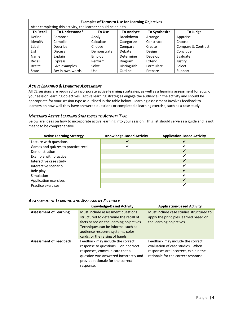| <b>Examples of Terms to Use for Learning Objectives</b>       |                  |             |                   |                      |                    |
|---------------------------------------------------------------|------------------|-------------|-------------------|----------------------|--------------------|
| After completing this activity, the learner should be able to |                  |             |                   |                      |                    |
| <b>To Recall</b>                                              | To Understand*   | To Use      | <b>To Analyze</b> | <b>To Synthesize</b> | To Judge           |
| Define                                                        | Compose          | Apply       | Breakdown         | Arrange              | Appraise           |
| Identify                                                      | Compile          | Calculate   | Categorize        | Construct            | Choose             |
| Label                                                         | <b>Describe</b>  | Choose      | Compare           | Create               | Compare & Contrast |
| List                                                          | <b>Discuss</b>   | Demonstrate | <b>Debate</b>     | Design               | Conclude           |
| Name                                                          | Explain          | Employ      | Determine         | Develop              | Evaluate           |
| Recall                                                        | Express          | Perform     | Diagram           | Extend               | Justify            |
| Recite                                                        | Give examples    | Solve       | Distinguish       | Formulate            | Select             |
| State                                                         | Say in own words | Use         | Outline           | Prepare              | Support            |

#### <span id="page-3-0"></span>*ACTIVE LEARNING & LEARNING ASSESSMENT*

All CE sessions are required to incorporate **active learning strategies**, as well as a **learning assessment** for *each* of your session learning objectives. Active learning strategies engage the audience in the activity and should be appropriate for your session type as outlined in the table below. Learning assessment involves feedback to learners on how well they have answered questions or completed a learning exercise, such as a case study.

#### <span id="page-3-1"></span>*MATCHING ACTIVE LEARNING STRATEGIES TO ACTIVITY TYPE*

Below are ideas on how to incorporate active learning into your session. This list should serve as a guide and is not meant to be comprehensive.

| <b>Active Learning Strategy</b>      | <b>Knowledge-Based Activity</b> | <b>Application-Based Activity</b> |
|--------------------------------------|---------------------------------|-----------------------------------|
| Lecture with questions               |                                 |                                   |
| Games and quizzes to practice recall |                                 |                                   |
| Demonstration                        |                                 |                                   |
| Example with practice                |                                 |                                   |
| Interactive case study               |                                 |                                   |
| Interactive scenario                 |                                 |                                   |
| Role play                            |                                 |                                   |
| Simulation                           |                                 |                                   |
| Application exercises                |                                 |                                   |
| Practice exercises                   |                                 |                                   |

<span id="page-3-2"></span>

|  | <b>ASSESSMENT OF LEARNING AND ASSESSMENT FEEDBACK</b> |
|--|-------------------------------------------------------|
|--|-------------------------------------------------------|

|                               | <b>Knowledge-Based Activity</b>                                                                                                                                                                                                    | <b>Application-Based Activity</b>                                                                                                                   |
|-------------------------------|------------------------------------------------------------------------------------------------------------------------------------------------------------------------------------------------------------------------------------|-----------------------------------------------------------------------------------------------------------------------------------------------------|
| <b>Assessment of Learning</b> | Must include assessment questions<br>structured to determine the recall of<br>facts based on the learning objectives.<br>Techniques can be informal such as<br>audience response systems, color<br>cards, or the raising of hands. | Must include case studies structured to<br>apply the principles learned based on<br>the learning objectives.                                        |
| <b>Assessment of Feedback</b> | Feedback may include the correct<br>response to questions. For incorrect<br>responses, communicate that a<br>question was answered incorrectly and<br>provide rationale for the correct<br>response.                               | Feedback may include the correct<br>evaluation of case studies. When<br>responses are incorrect, explain the<br>rationale for the correct response. |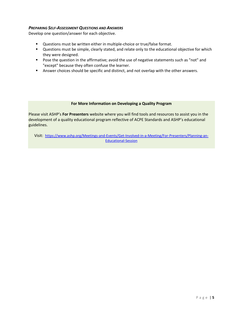#### <span id="page-4-0"></span>*PREPARING SELF-ASSESSMENT QUESTIONS AND ANSWERS*

Develop one question/answer for each objective.

- **Questions must be written either in multiple-choice or true/false format.**
- **Questions must be simple, clearly stated, and relate only to the educational objective for which** they were designed.
- **Pose the question in the affirmative; avoid the use of negative statements such as "not" and** "except" because they often confuse the learner.
- **Answer choices should be specific and distinct, and not overlap with the other answers.**

#### **For More Information on Developing a Quality Program**

Please visit ASHP's **For Presenters** website where you will find tools and resources to assist you in the development of a quality educational program reflective of ACPE Standards and ASHP's educational guidelines.

Visit: [https://www.ashp.org/Meetings-and-Events/Get-Involved-in-a-Meeting/For-Presenters/Planning-an-](https://www.ashp.org/Meetings-and-Events/Get-Involved-in-a-Meeting/For-Presenters/Planning-an-Educational-Session)[Educational-Session](https://www.ashp.org/Meetings-and-Events/Get-Involved-in-a-Meeting/For-Presenters/Planning-an-Educational-Session)